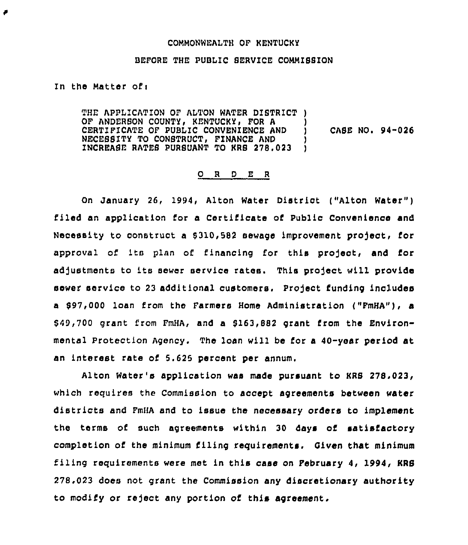### COMMONWEALTH OF KENTUCKY

## BEFORE THE PUBLIC SERVICE COMMISSION

In the Matter of:

THE APPLICATION OF ALTON WATER DISTRICT ) OF ANDERSON COUNTY, KENTUCKY, FOR A )<br>CERTIFICATE OF PUBLIC CONVENIENCE AND ) CERTIFICATE OF PUBLIC CONVENIENCE AND ) NECESSITY TO CONSTRUCT, FINANCE AND INCREASE RATES PURSUANT TO KRS 278,023 ) CASE NO. 94-026

## 0 <sup>R</sup> <sup>D</sup> E <sup>R</sup>

On January 26, 1994, Alton Water District ("Alton Water") filed an application for a Certificate of Public Convenience and Necessity to construct a \$310,582 sewage improvement project, for approval of its plan of financing for this project, and for adjustments to its sewer service rates. This project will provide sewer service to 23 additional customers. Project funding includes a 897,000 loan from the Farmers Home Administration ("FmHA"), a \$49,700 grant from FmHA, and a \$163,882 grant from the Environmental Protection Agency. The loan will be for a 40-year period at an interest rate of 5.625 percent per annum.

Alton Water's application was made pursuant to KRS 278,023, which requires the Commission to accept agreements between water districts and FmHA and to issue the necessary orders to implement the terms of such agreements within 30 days of satisfactory completion of the minimum filing requirements. Given that minimum filing requirements were met in this case on February 4, 1994, KRS 278.023 does not grant the Commission any discretionary authority to modify or reject any portion of this agreement.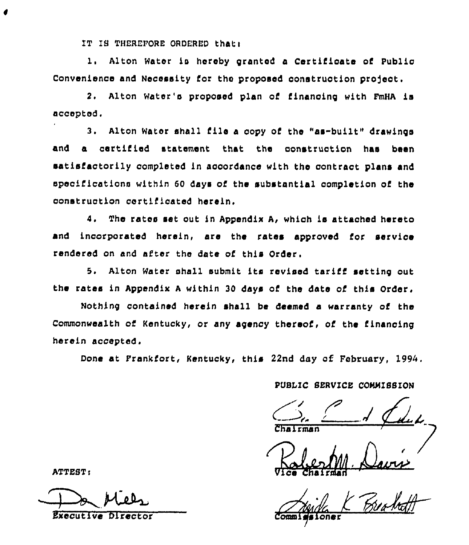IT IS THEREFORE ORDERED that:

1. Alton Water is hereby granted a Certificate of Public Convenience and Necessity for the proposed construction project.

2. Alton Water's proposed plan of financing with FmHA is accepted.

3. Alton Water shall file a copy of the "as-built" drawings and a certified statement that the construction has been satisfactorily completed in accordance with the contract plans and specifications within 60 days of the substantial completion of the construction certificated herein.

 $4.$ The rates set out in Appendix A, which is attached hereto and incorporated herein, are the rates approved for service rendered on and after the date of this Order.

5. Alton Water shall submit its revised tariff setting out the rates in Appendix A within 30 days of the date of this Order.

Nothing contained herein shall be deemed a warranty of the Commonwealth of Kentucky, or any agency thereof, of the financing herein accepted.

Done at Frankfort, Kentucky, this 22nd day of February, 1994.

PUBLIC SERVICE COMMISSION

oner

ATTEST:

**Executive Director**